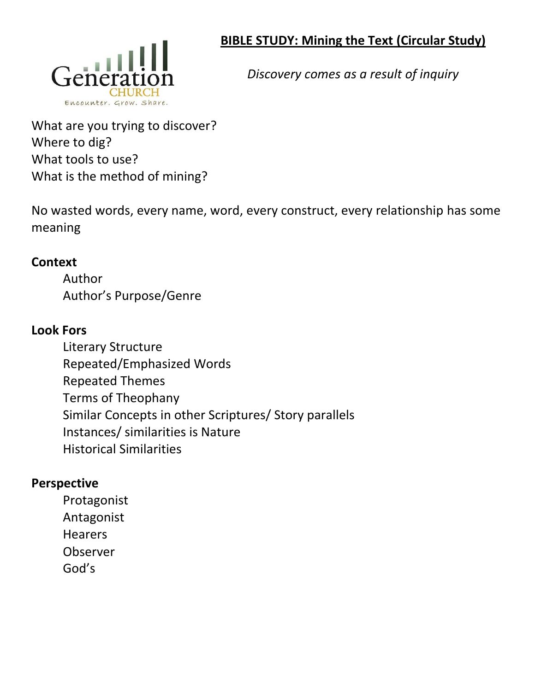## **BIBLE STUDY: Mining the Text (Circular Study)**



*Discovery comes as a result of inquiry*

What are you trying to discover? Where to dig? What tools to use? What is the method of mining?

No wasted words, every name, word, every construct, every relationship has some meaning

## **Context**

Author Author's Purpose/Genre

## **Look Fors**

Literary Structure Repeated/Emphasized Words Repeated Themes Terms of Theophany Similar Concepts in other Scriptures/ Story parallels Instances/ similarities is Nature Historical Similarities

## **Perspective**

Protagonist Antagonist Hearers Observer God's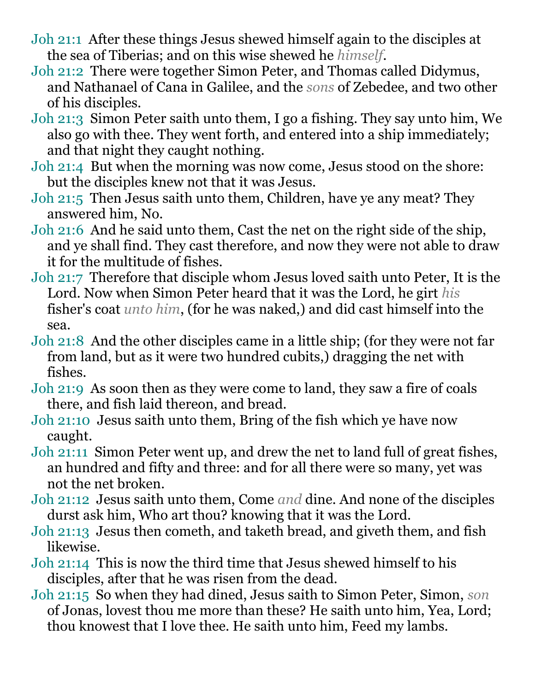- Joh 21:1 After these things Jesus shewed himself again to the disciples at the sea of Tiberias; and on this wise shewed he *himself*.
- Joh 21:2 There were together Simon Peter, and Thomas called Didymus, and Nathanael of Cana in Galilee, and the *sons* of Zebedee, and two other of his disciples.
- Joh 21:3 Simon Peter saith unto them, I go a fishing. They say unto him, We also go with thee. They went forth, and entered into a ship immediately; and that night they caught nothing.
- Joh 21:4 But when the morning was now come, Jesus stood on the shore: but the disciples knew not that it was Jesus.
- Joh 21:5 Then Jesus saith unto them, Children, have ye any meat? They answered him, No.
- Joh 21:6 And he said unto them, Cast the net on the right side of the ship, and ye shall find. They cast therefore, and now they were not able to draw it for the multitude of fishes.
- Joh 21:7 Therefore that disciple whom Jesus loved saith unto Peter, It is the Lord. Now when Simon Peter heard that it was the Lord, he girt *his* fisher's coat *unto him*, (for he was naked,) and did cast himself into the sea.
- Joh 21:8 And the other disciples came in a little ship; (for they were not far from land, but as it were two hundred cubits,) dragging the net with fishes.
- Joh 21:9 As soon then as they were come to land, they saw a fire of coals there, and fish laid thereon, and bread.
- Joh 21:10 Jesus saith unto them, Bring of the fish which ye have now caught.
- Joh 21:11 Simon Peter went up, and drew the net to land full of great fishes, an hundred and fifty and three: and for all there were so many, yet was not the net broken.
- Joh 21:12 Jesus saith unto them, Come *and* dine. And none of the disciples durst ask him, Who art thou? knowing that it was the Lord.
- Joh 21:13 Jesus then cometh, and taketh bread, and giveth them, and fish likewise.
- Joh 21:14 This is now the third time that Jesus shewed himself to his disciples, after that he was risen from the dead.
- Joh 21:15 So when they had dined, Jesus saith to Simon Peter, Simon, *son* of Jonas, lovest thou me more than these? He saith unto him, Yea, Lord; thou knowest that I love thee. He saith unto him, Feed my lambs.